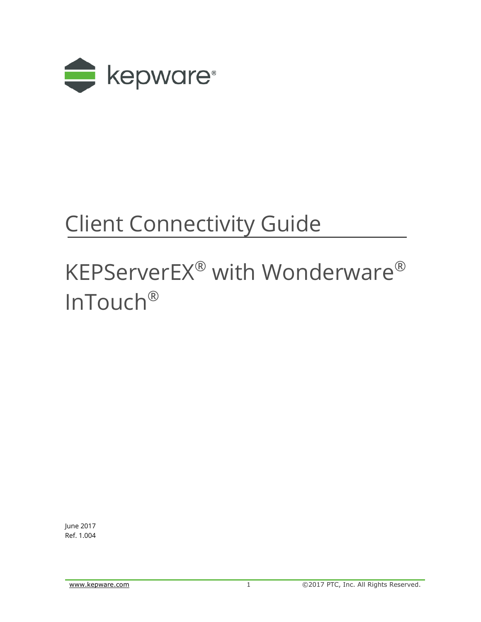

## Client Connectivity Guide

# KEPServerEX® with Wonderware® InTouch®

June 2017 Ref. 1.004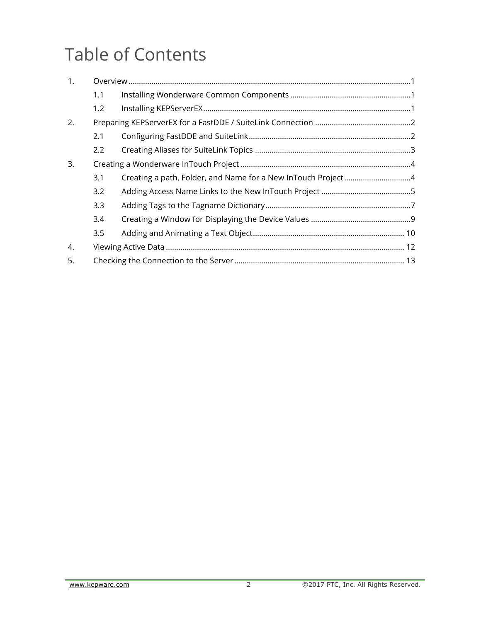## Table of Contents

| 1. |               |  |
|----|---------------|--|
|    | 1.1           |  |
|    | 1.2           |  |
| 2. |               |  |
|    | 2.1           |  |
|    | $2.2^{\circ}$ |  |
| 3. |               |  |
|    | 3.1           |  |
|    | 3.2           |  |
|    | 3.3           |  |
|    | 3.4           |  |
|    | 3.5           |  |
| 4. |               |  |
| 5. |               |  |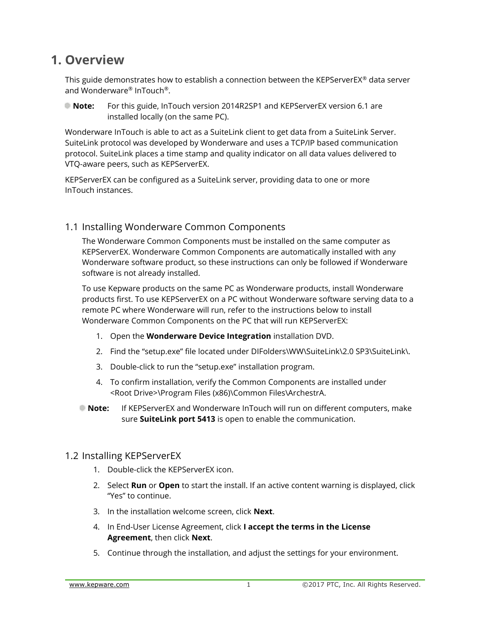### <span id="page-2-0"></span>**1. Overview**

This guide demonstrates how to establish a connection between the KEPServerEX® data server and Wonderware® InTouch®.

**Note:** For this guide, InTouch version 2014R2SP1 and KEPServerEX version 6.1 are installed locally (on the same PC).

Wonderware InTouch is able to act as a SuiteLink client to get data from a SuiteLink Server. SuiteLink protocol was developed by Wonderware and uses a TCP/IP based communication protocol. SuiteLink places a time stamp and quality indicator on all data values delivered to VTQ-aware peers, such as KEPServerEX.

KEPServerEX can be configured as a SuiteLink server, providing data to one or more InTouch instances.

#### <span id="page-2-1"></span>1.1 Installing Wonderware Common Components

The Wonderware Common Components must be installed on the same computer as KEPServerEX. Wonderware Common Components are automatically installed with any Wonderware software product, so these instructions can only be followed if Wonderware software is not already installed.

To use Kepware products on the same PC as Wonderware products, install Wonderware products first. To use KEPServerEX on a PC without Wonderware software serving data to a remote PC where Wonderware will run, refer to the instructions below to install Wonderware Common Components on the PC that will run KEPServerEX:

- 1. Open the **Wonderware Device Integration** installation DVD.
- 2. Find the "setup.exe" file located under DIFolders\WW\SuiteLink\2.0 SP3\SuiteLink\.
- 3. Double-click to run the "setup.exe" installation program.
- 4. To confirm installation, verify the Common Components are installed under <Root Drive>\Program Files (x86)\Common Files\ArchestrA.
- **Note:** If KEPServerEX and Wonderware InTouch will run on different computers, make sure **SuiteLink port 5413** is open to enable the communication.

#### <span id="page-2-2"></span>1.2 Installing KEPServerEX

- 1. Double-click the KEPServerEX icon.
- 2. Select **Run** or **Open** to start the install. If an active content warning is displayed, click "Yes" to continue.
- 3. In the installation welcome screen, click **Next**.
- 4. In End-User License Agreement, click **I accept the terms in the License Agreement**, then click **Next**.
- 5. Continue through the installation, and adjust the settings for your environment.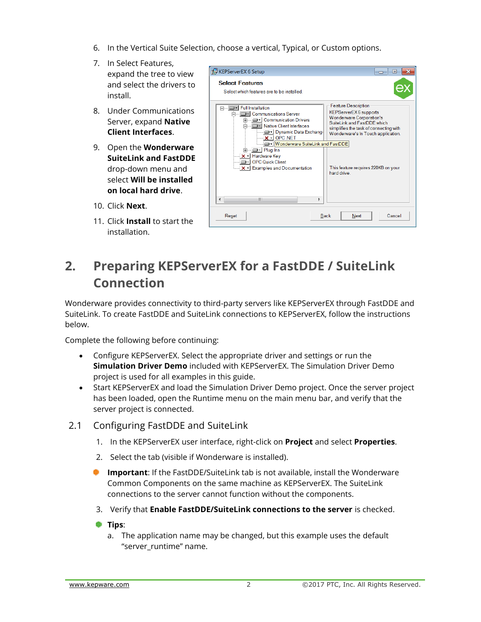- 6. In the Vertical Suite Selection, choose a vertical, Typical, or Custom options.
- 7. In Select Features, expand the tree to view and select the drivers to install.
- 8. Under Communications Server, expand **Native Client Interfaces**.
- 9. Open the **Wonderware SuiteLink and FastDDE** drop-down menu and select **Will be installed on local hard drive**.
- 10. Click **Next**.
- 11. Click **Install** to start the installation.



## <span id="page-3-0"></span>**2. Preparing KEPServerEX for a FastDDE / SuiteLink Connection**

Wonderware provides connectivity to third-party servers like KEPServerEX through FastDDE and SuiteLink. To create FastDDE and SuiteLink connections to KEPServerEX, follow the instructions below.

Complete the following before continuing:

- Configure KEPServerEX. Select the appropriate driver and settings or run the **Simulation Driver Demo** included with KEPServerEX. The Simulation Driver Demo project is used for all examples in this guide.
- Start KEPServerEX and load the Simulation Driver Demo project. Once the server project has been loaded, open the Runtime menu on the main menu bar, and verify that the server project is connected.
- <span id="page-3-1"></span>2.1 Configuring FastDDE and SuiteLink
	- 1. In the KEPServerEX user interface, right-click on **Project** and select **Properties**.
	- 2. Select the tab (visible if Wonderware is installed).
	- **Important**: If the FastDDE/SuiteLink tab is not available, install the Wonderware Common Components on the same machine as KEPServerEX. The SuiteLink connections to the server cannot function without the components.
	- 3. Verify that **Enable FastDDE/SuiteLink connections to the server** is checked.
	- **Tips**:
		- a. The application name may be changed, but this example uses the default "server\_runtime" name.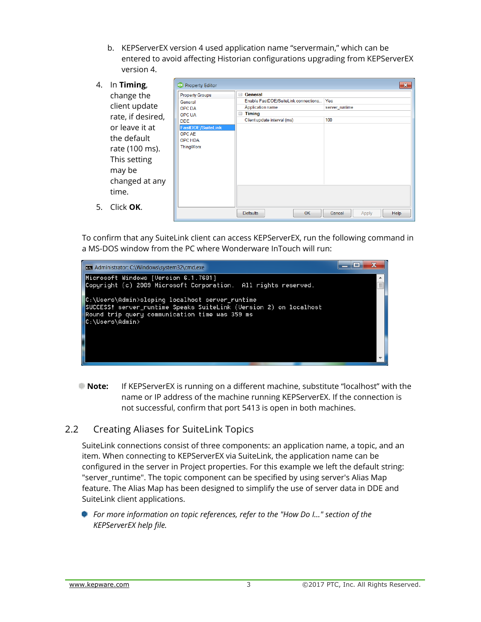b. KEPServerEX version 4 used application name "servermain," which can be entered to avoid affecting Historian configurations upgrading from KEPServerEX version 4.

| 4. | In Timing,        | <b>BX</b> Property Editor   | $\mathbf{x}$                                      |
|----|-------------------|-----------------------------|---------------------------------------------------|
|    | change the        | <b>Property Groups</b>      | General<br>$\Box$                                 |
|    |                   | General                     | Enable FastDDE/SuiteLink connections<br>Yes       |
|    | client update     | <b>OPC DA</b>               | <b>Application name</b><br>server_runtime         |
|    | rate, if desired, | <b>OPC UA</b><br><b>DDE</b> | Timing<br>F<br>100<br>Client update interval (ms) |
|    | or leave it at    | FastDDE/SuiteLink           |                                                   |
|    | the default       | OPC AE<br><b>OPC HDA</b>    |                                                   |
|    | rate (100 ms).    | ThingWorx                   |                                                   |
|    | This setting      |                             |                                                   |
|    | may be            |                             |                                                   |
|    | changed at any    |                             |                                                   |
|    | time.             |                             |                                                   |
| 5. | Click OK.         |                             |                                                   |
|    |                   |                             | OK<br><b>Defaults</b><br>Help<br>Cancel<br>Apply  |

To confirm that any SuiteLink client can access KEPServerEX, run the following command in a MS-DOS window from the PC where Wonderware InTouch will run:



**Note:** If KEPServerEX is running on a different machine, substitute "localhost" with the name or IP address of the machine running KEPServerEX. If the connection is not successful, confirm that port 5413 is open in both machines.

#### <span id="page-4-0"></span>2.2 Creating Aliases for SuiteLink Topics

SuiteLink connections consist of three components: an application name, a topic, and an item. When connecting to KEPServerEX via SuiteLink, the application name can be configured in the server in Project properties. For this example we left the default string: "server\_runtime". The topic component can be specified by using server's Alias Map feature. The Alias Map has been designed to simplify the use of server data in DDE and SuiteLink client applications.

**For more information on topic references, refer to the "How Do I..." section of the** *KEPServerEX help file.*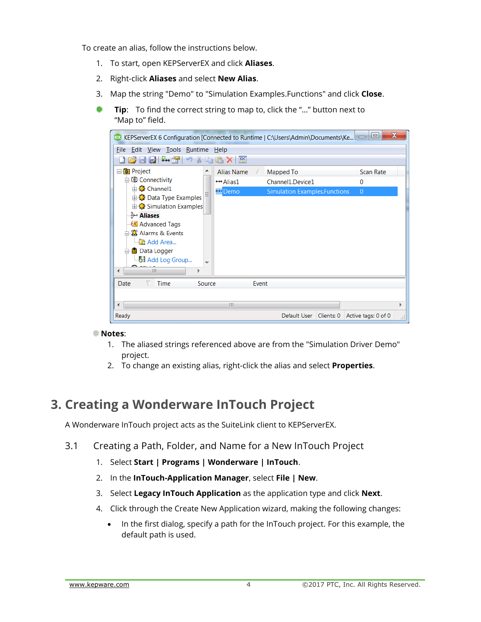To create an alias, follow the instructions below.

- 1. To start, open KEPServerEX and click **Aliases**.
- 2. Right-click **Aliases** and select **New Alias**.
- 3. Map the string "Demo" to "Simulation Examples.Functions" and click **Close**.
- **Tip**: To find the correct string to map to, click the "…" button next to "Map to" field.



#### **Notes**:

- 1. The aliased strings referenced above are from the "Simulation Driver Demo" project.
- 2. To change an existing alias, right-click the alias and select **Properties**.

### <span id="page-5-0"></span>**3. Creating a Wonderware InTouch Project**

A Wonderware InTouch project acts as the SuiteLink client to KEPServerEX.

- <span id="page-5-1"></span>3.1 Creating a Path, Folder, and Name for a New InTouch Project
	- 1. Select **Start | Programs | Wonderware | InTouch**.
	- 2. In the **InTouch-Application Manager**, select **File | New**.
	- 3. Select **Legacy InTouch Application** as the application type and click **Next**.
	- 4. Click through the Create New Application wizard, making the following changes:
		- In the first dialog, specify a path for the InTouch project. For this example, the default path is used.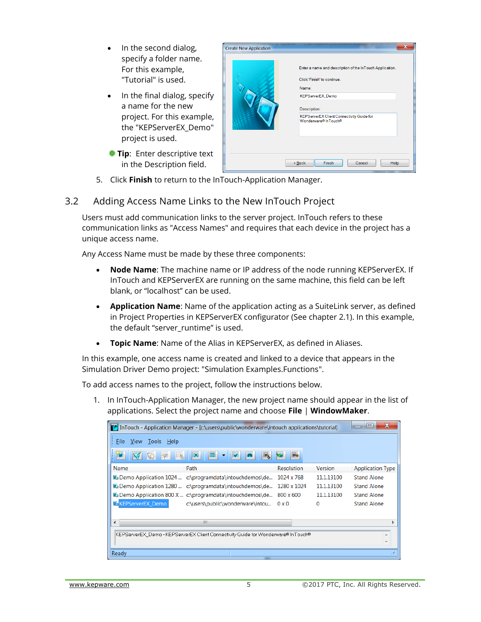- In the second dialog, specify a folder name. For this example, "Tutorial" is used.
- In the final dialog, specify a name for the new project. For this example, the "KEPServerEX\_Demo" project is used.
- **Tip:** Enter descriptive text in the Description field.



5. Click **Finish** to return to the InTouch-Application Manager.

#### <span id="page-6-0"></span>3.2 Adding Access Name Links to the New InTouch Project

Users must add communication links to the server project. InTouch refers to these communication links as "Access Names" and requires that each device in the project has a unique access name.

Any Access Name must be made by these three components:

- **Node Name**: The machine name or IP address of the node running KEPServerEX. If InTouch and KEPServerEX are running on the same machine, this field can be left blank, or "localhost" can be used.
- **Application Name**: Name of the application acting as a SuiteLink server, as defined in Project Properties in KEPServerEX configurator (See chapter 2.1). In this example, the default "server\_runtime" is used.
- **Topic Name**: Name of the Alias in KEPServerEX, as defined in Aliases.

In this example, one access name is created and linked to a device that appears in the Simulation Driver Demo project: "Simulation Examples.Functions".

To add access names to the project, follow the instructions below.

1. In InTouch-Application Manager, the new project name should appear in the list of applications. Select the project name and choose **File** | **WindowMaker**.

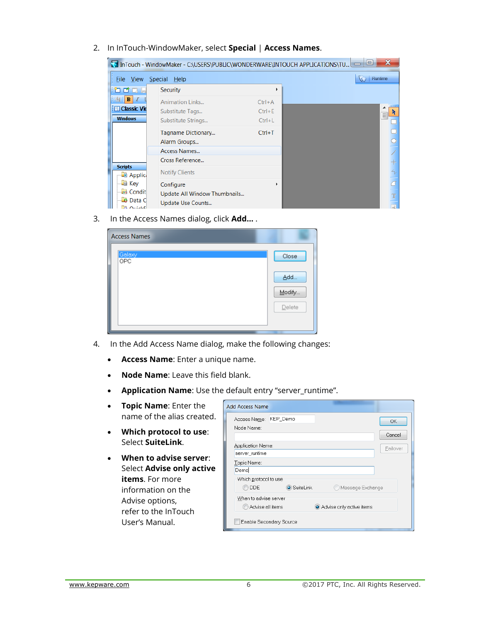2. In InTouch-WindowMaker, select **Special** | **Access Names**.

|                                   | InTouch - WindowMaker - C:\USERS\PUBLIC\WONDERWARE\INTOUCH APPLICATIONS\TU |            | X<br>⊫      |
|-----------------------------------|----------------------------------------------------------------------------|------------|-------------|
| File View                         | Special Help                                                               |            | Runtime     |
| m<br>m.<br>lm                     | Security                                                                   |            |             |
| в<br>-1                           | <b>Animation Links</b>                                                     | $Ctrl + A$ | 11111<br>▴  |
| <b>Ell Classic Vie</b>            | Substitute Tags                                                            | $Ctrl + E$ | Ξ           |
| <b>Windows</b>                    | Substitute Strings                                                         | $Ctrl + L$ |             |
|                                   | Tagname Dictionary                                                         | $Ctrl+T$   |             |
|                                   | Alarm Groups                                                               |            |             |
|                                   | Access Names                                                               |            |             |
|                                   | Cross Reference                                                            |            |             |
| <b>Scripts</b><br><b>B</b> Applic | <b>Notify Clients</b>                                                      |            | 4,          |
| — <mark>■ Key</mark>              | Configure                                                                  |            |             |
| G Condit<br>Data C                | Update All Window Thumbnails<br>Update Use Counts                          |            | $\mathbf T$ |
| <b>A OuickE</b>                   |                                                                            |            | $\sim$      |

3. In the Access Names dialog, click **Add…** .

| <b>Access Names</b> |        |  |  |  |  |
|---------------------|--------|--|--|--|--|
| Galaxy<br>0PC       | Close  |  |  |  |  |
|                     | Add    |  |  |  |  |
|                     | Modify |  |  |  |  |
|                     | Delete |  |  |  |  |
|                     |        |  |  |  |  |

- 4. In the Add Access Name dialog, make the following changes:
	- **Access Name**: Enter a unique name.
	- **Node Name**: Leave this field blank.
	- **Application Name**: Use the default entry "server\_runtime".
	- **Topic Name**: Enter the name of the alias created.
	- **Which protocol to use**: Select **SuiteLink**.
	- **When to advise server**: Select **Advise only active items**. For more information on the Advise options, refer to the InTouch User's Manual.

| <b>Add Access Name</b>                       |                    |
|----------------------------------------------|--------------------|
| KEP_Demo<br>Access Name:                     | OK                 |
| Node Name:                                   |                    |
|                                              | Cancel             |
| Application Name:                            | Failover           |
| server_runtime                               |                    |
| Topic Name:                                  |                    |
| Demo                                         |                    |
| Which protocol to use                        |                    |
| <b>●</b> SuiteLink<br>DDE.                   | O Message Exchange |
| When to advise server                        |                    |
| Advise all items<br>Advise only active items |                    |
| Enable Secondary Source                      |                    |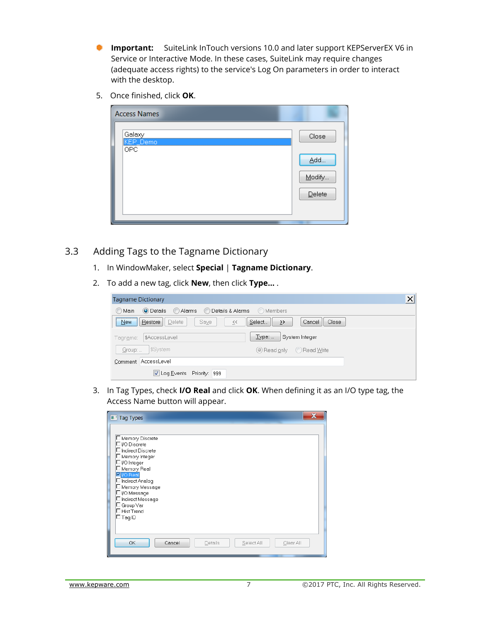- **Important:** SuiteLink InTouch versions 10.0 and later support KEPServerEX V6 in Service or Interactive Mode. In these cases, SuiteLink may require changes (adequate access rights) to the service's Log On parameters in order to interact with the desktop.
- 5. Once finished, click **OK**.

| <b>Access Names</b> |        |
|---------------------|--------|
| Galaxy<br>KEP_Demo  | Close  |
| OPC.                | Add    |
|                     | Modify |
|                     | Delete |
|                     |        |

- <span id="page-8-0"></span>3.3 Adding Tags to the Tagname Dictionary
	- 1. In WindowMaker, select **Special** | **Tagname Dictionary**.
	- 2. To add a new tag, click **New**, then click **Type…** .

| <b>Tagname Dictionary</b>                                          | $\times$                       |
|--------------------------------------------------------------------|--------------------------------|
| <b>Alarms</b><br>© Details & Alarms<br>◯ Main<br><b>O</b> Details  | (O) Members                    |
| Restore<br>Saye<br>Delete<br><b>New</b><br>$\overline{\zeta}\zeta$ | Select<br>Cancel<br>Close<br>∢ |
| \$AccessLevel<br>Taqn <u>a</u> me:                                 | Type:<br>System Integer        |
| \$System<br>$G$ roup:                                              | Read only C Read Write         |
| Comment: AccessLevel                                               |                                |
| Log Events Priority: 999                                           |                                |

3. In Tag Types, check **I/O Real** and click **OK**. When defining it as an I/O type tag, the Access Name button will appear.

| <b>Tag Types</b>                                                                                                                                                                                                                                                                   |  |
|------------------------------------------------------------------------------------------------------------------------------------------------------------------------------------------------------------------------------------------------------------------------------------|--|
| ∣□ Memory Discrete<br>$\Box$ I/O Discrete<br>$\Box$ Indirect Discrete<br>□ Memory Integer<br>∃I/O Integer<br>Memory Real<br>$\n  Z$  /O Real<br>Indirect Analoq<br>Memory Message<br>□I/O Message<br>$\Box$ Indirect Message<br>Group Var<br><b>Hist Trend</b><br>$\square$ Taq ID |  |
| OK<br>Cancel<br>Select All<br>Details<br>Clear All                                                                                                                                                                                                                                 |  |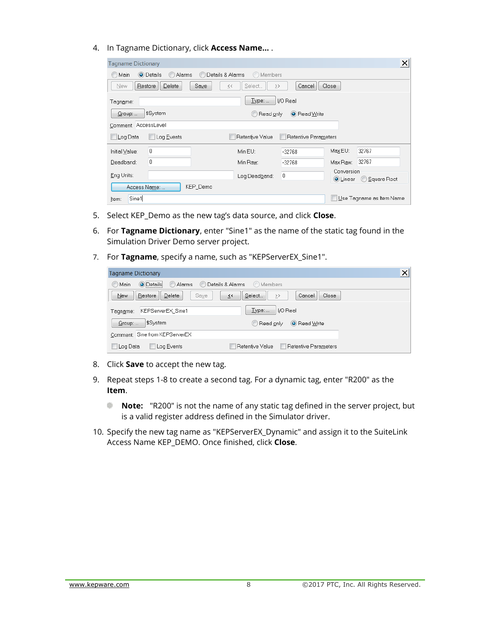4. In Tagname Dictionary, click **Access Name…** .

| $\pmb{\times}$<br><b>Tagname Dictionary</b>                                |                   |                                   |                  |                      |          |       |  |  |
|----------------------------------------------------------------------------|-------------------|-----------------------------------|------------------|----------------------|----------|-------|--|--|
| Details & Alarms<br>O Details<br>C<br>O Members<br>Alarms<br>Main          |                   |                                   |                  |                      |          |       |  |  |
| New                                                                        | Delete<br>Restore | Saye<br>$\overline{\zeta}\,\zeta$ | Select<br>$\geq$ | Cancel               | Close    |       |  |  |
| Taqn <u>a</u> me:                                                          | Type:<br>I/O Real |                                   |                  |                      |          |       |  |  |
| $G$ roup:                                                                  | \$System          |                                   | Read only        | O Read Write         |          |       |  |  |
| Comment: AccessLevel                                                       |                   |                                   |                  |                      |          |       |  |  |
| Log Data                                                                   | Log Events        |                                   | Retentive Value  | Retentive Parameters |          |       |  |  |
| Initial Value:                                                             | 0                 |                                   | Min EU:          | $-32768$             | Max EU:  | 32767 |  |  |
| Deadband:                                                                  | 0                 |                                   | Min Raw:         | $-32768$             | Max Raw: | 32767 |  |  |
| Conversion<br>0<br>Eng Units:<br>Log Deadband:<br>Square Root<br>(● Linear |                   |                                   |                  |                      |          |       |  |  |
| KEP_Demo<br>Access Name:                                                   |                   |                                   |                  |                      |          |       |  |  |
| Sine1<br>Use Tagname as Item Name<br>Item:                                 |                   |                                   |                  |                      |          |       |  |  |

- 5. Select KEP\_Demo as the new tag's data source, and click **Close**.
- 6. For **Tagname Dictionary**, enter "Sine1" as the name of the static tag found in the Simulation Driver Demo server project.
- 7. For **Tagname**, specify a name, such as "KEPServerEX\_Sine1".

| <b>Tagname Dictionary</b>              |                                           | × |
|----------------------------------------|-------------------------------------------|---|
| <b>O</b> Details<br>Alarms<br>◯ Main   | <b>O</b> Details & Alarms<br>O Members    |   |
| Saye<br>Delete<br>Restore<br>New       | Select<br>Close<br>Cancel<br>≤<<br>$\geq$ |   |
| KEPServerEX Sine1<br>Taqn <u>a</u> me: | Type:<br>I/O Real                         |   |
| \$System<br>Group:                     | O Read Write<br>C Read only               |   |
| Comment: Sine from KEPServerEX         |                                           |   |
| Log Data<br>Log Events                 | Retentive Parameters<br>Retentive Value   |   |

- 8. Click **Save** to accept the new tag.
- 9. Repeat steps 1-8 to create a second tag. For a dynamic tag, enter "R200" as the **Item**.
	- **Note:** "R200" is not the name of any static tag defined in the server project, but ۰ is a valid register address defined in the Simulator driver.
- 10. Specify the new tag name as "KEPServerEX\_Dynamic" and assign it to the SuiteLink Access Name KEP\_DEMO. Once finished, click **Close**.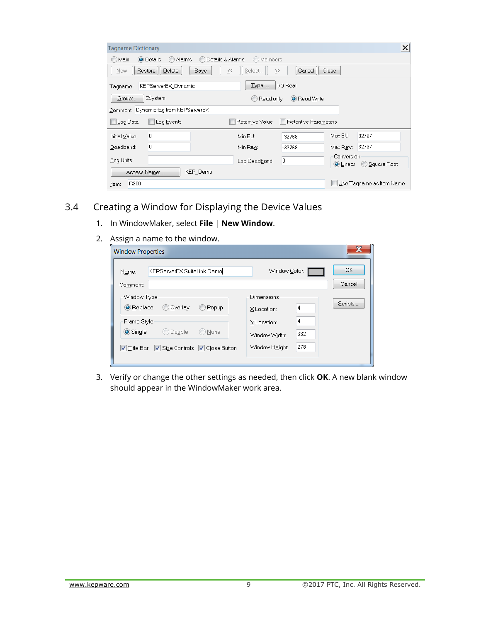| $\times$<br><b>Tagname Dictionary</b>                                      |                                               |                      |          |       |  |  |  |
|----------------------------------------------------------------------------|-----------------------------------------------|----------------------|----------|-------|--|--|--|
| Details & Alarms<br>O Members<br>O Details<br>$\subset$<br>Alarms<br>Main  |                                               |                      |          |       |  |  |  |
| Saye<br>Delete<br>Restore<br>New                                           | Select<br>$\overline{\zeta}\,\zeta$<br>$\geq$ | Cancel               | Close    |       |  |  |  |
| I/O Real<br>Type:<br>KEPServerEX Dynamic<br>Taqn <u>a</u> me:              |                                               |                      |          |       |  |  |  |
| \$System<br>Group:                                                         | Read only<br>$\circ$                          | O Read Write         |          |       |  |  |  |
| Dynamic tag from KEPServerEX<br>Comment:                                   |                                               |                      |          |       |  |  |  |
| Log Data<br>Log Events                                                     | Retentive Value                               | Retentive Parameters |          |       |  |  |  |
| 0<br>Initial Value:                                                        | Min EU:                                       | $-32768$             | Max EU:  | 32767 |  |  |  |
| 0<br>Deadband:                                                             | Min Raw:                                      | $-32768$             | Max Raw: | 32767 |  |  |  |
| Conversion<br>0<br>Eng Units:<br>Log Deadband:<br>Square Root<br>(● Linear |                                               |                      |          |       |  |  |  |
| KEP_Demo<br>Access Name:                                                   |                                               |                      |          |       |  |  |  |
| Use Tagname as Item Name<br>R <sub>200</sub><br>Item:                      |                                               |                      |          |       |  |  |  |

#### <span id="page-10-0"></span>3.4 Creating a Window for Displaying the Device Values

- 1. In WindowMaker, select **File** | **New Window**.
- 2. Assign a name to the window.

| <b>Window Properties</b>                                                                              |                                                                  | x                   |
|-------------------------------------------------------------------------------------------------------|------------------------------------------------------------------|---------------------|
| KEPServerEX SuiteLink Demo<br>Name:<br>Comment:                                                       | Window Color:                                                    | <b>OK</b><br>Cancel |
| Window Type<br><b>O</b> Replace<br>Overlay<br>Popup                                                   | Dimensions<br>4<br>X Location:                                   | Scripts             |
| Frame Style<br>$\odot$ Single<br>None<br>Double<br>Size Controls V Close Button<br><b>√</b> Title Bar | 4<br>Y Location:<br>632<br>Window Width:<br>278<br>Window Height |                     |
|                                                                                                       |                                                                  |                     |

3. Verify or change the other settings as needed, then click **OK**. A new blank window should appear in the WindowMaker work area.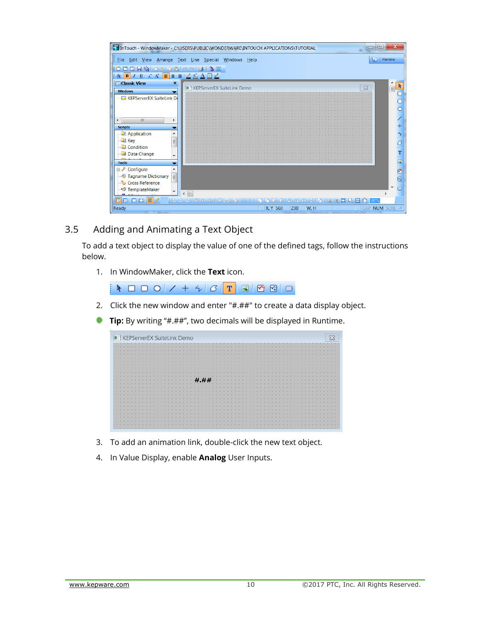|                                                                                                                              | $\qquad \qquad \blacksquare$<br>T2 InTouch - WindowMaker - C:\USERS\PUBLIC\WONDERWARE\INTOUCH APPLICATIONS\TUTORIAL |         |
|------------------------------------------------------------------------------------------------------------------------------|---------------------------------------------------------------------------------------------------------------------|---------|
|                                                                                                                              | File Edit View Arrange Text Line Special Windows Help                                                               | Runtime |
| D & B & B & B & B & B & B<br>m                                                                                               |                                                                                                                     |         |
| $I \perp \perp$ A $\parallel \equiv \equiv \parallel \parallel \triangle \triangle \perp \parallel \parallel \triangle$<br>в |                                                                                                                     |         |
| <b>Im Classic View</b><br>×                                                                                                  | $\infty$<br><b>E: KEPServerEX SuiteLink Demo</b>                                                                    |         |
| <b>Windows</b>                                                                                                               |                                                                                                                     | Ξ       |
| <b>KEPServerEX SuiteLink De</b>                                                                                              |                                                                                                                     |         |
|                                                                                                                              |                                                                                                                     |         |
|                                                                                                                              |                                                                                                                     |         |
| $\mathbb{H}$<br>Þ                                                                                                            |                                                                                                                     |         |
| <b>Scripts</b>                                                                                                               |                                                                                                                     | ╫       |
| <b>Application</b><br>▲                                                                                                      |                                                                                                                     | 4       |
| <b>E</b> Key                                                                                                                 |                                                                                                                     |         |
| Ξ<br><b>Condition</b>                                                                                                        |                                                                                                                     | σ       |
| Data Change                                                                                                                  |                                                                                                                     | т       |
| ▼                                                                                                                            |                                                                                                                     |         |
| <b>Tools</b>                                                                                                                 |                                                                                                                     | $\sim$  |
| <b>E</b> <i>L</i> Configure                                                                                                  |                                                                                                                     | 図       |
| Tagname Dictionary<br>Ξ                                                                                                      |                                                                                                                     | 网       |
| Cross Reference                                                                                                              |                                                                                                                     |         |
| <b>Informal TemplateMaker</b><br>$\overline{\phantom{a}}$                                                                    | <b>III</b><br>$\blacktriangleleft$                                                                                  |         |
| ■■□□■■                                                                                                                       | iB.S. Si proposición de la Alia XX XX Alia Alia jQ Q D Q B Q 100 X                                                  |         |
| Ready                                                                                                                        | W, H<br>CAP NUM SCRL :<br><b>X.Y 560</b><br>230                                                                     |         |

#### <span id="page-11-0"></span>3.5 Adding and Animating a Text Object

To add a text object to display the value of one of the defined tags, follow the instructions below.

1. In WindowMaker, click the **Text** icon.

- 2. Click the new window and enter "#.##" to create a data display object.
- **Tip:** By writing "#.##", two decimals will be displayed in Runtime.

| <b>E KEPServerEX SuiteLink Demo</b> | X |
|-------------------------------------|---|
|                                     |   |
|                                     |   |
|                                     |   |
|                                     |   |
|                                     |   |
|                                     |   |
|                                     |   |
|                                     |   |
|                                     |   |
|                                     |   |
|                                     |   |
|                                     |   |
|                                     |   |
|                                     |   |
|                                     |   |
|                                     |   |
|                                     |   |
|                                     |   |
|                                     |   |
|                                     |   |
|                                     |   |
|                                     |   |
|                                     |   |
|                                     |   |

- 3. To add an animation link, double-click the new text object.
- 4. In Value Display, enable **Analog** User Inputs.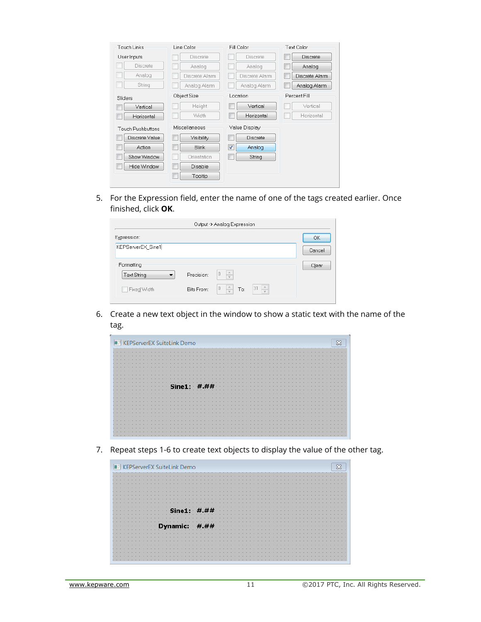| Touch Links              | Line Color      | Fill Color                        | <b>Text Color</b> |
|--------------------------|-----------------|-----------------------------------|-------------------|
| User Inputs              | <b>Discrete</b> | <b>Discrete</b>                   | <b>Discrete</b>   |
| <b>Discrete</b>          | Analog          | Analog                            | Analog            |
| Analog                   | Discrete Alarm  | Discrete Alarm                    | Discrete Alarm    |
| String                   | Analog Alarm    | Analog Alarm                      | Analog Alarm      |
| Sliders                  | Object Size     | Location                          | Percent Fill      |
| Vertical                 | Height          | Vertical                          | Vertical          |
| Horizontal               | Width           | Horizontal                        | Horizontal        |
| <b>Touch Pushbuttons</b> | Miscellaneous   | Value Display                     |                   |
| Discrete Value           | Visibility      | Г<br><b>Discrete</b>              |                   |
| Action                   | <b>Blink</b>    | $\overline{\mathsf{v}}$<br>Analog |                   |
| Show Window              | Orientation     | String                            |                   |
| Hide Window              | <b>Disable</b>  |                                   |                   |
|                          | Tooltip         |                                   |                   |

5. For the Expression field, enter the name of one of the tags created earlier. Once finished, click **OK**.

|                    |            | Output -> Analog Expression                                                  |        |
|--------------------|------------|------------------------------------------------------------------------------|--------|
| Expression:        |            |                                                                              | OK     |
| KEPServerEX_Sine1  |            |                                                                              | Cancel |
| Formatting         |            |                                                                              | Clear  |
| <b>Text String</b> | Precision: | $\triangle$<br>$\theta$<br>$\overline{\mathbf{v}}$                           |        |
| Fixed Width        | Bits From: | 0<br>$\frac{\triangle}{\tau}$<br>$\frac{\triangle}{\mathbf{v}}$<br>31<br>To: |        |

6. Create a new text object in the window to show a static text with the name of the tag.

| <b>E KEPServerEX SuiteLink Demo</b> |  |  |  |  |  |  |              |  |  |  |  |  |  |  |  |  |  |  |  |  |  |  |  |  |  |  | X |  |
|-------------------------------------|--|--|--|--|--|--|--------------|--|--|--|--|--|--|--|--|--|--|--|--|--|--|--|--|--|--|--|---|--|
|                                     |  |  |  |  |  |  |              |  |  |  |  |  |  |  |  |  |  |  |  |  |  |  |  |  |  |  |   |  |
|                                     |  |  |  |  |  |  |              |  |  |  |  |  |  |  |  |  |  |  |  |  |  |  |  |  |  |  |   |  |
|                                     |  |  |  |  |  |  |              |  |  |  |  |  |  |  |  |  |  |  |  |  |  |  |  |  |  |  |   |  |
|                                     |  |  |  |  |  |  |              |  |  |  |  |  |  |  |  |  |  |  |  |  |  |  |  |  |  |  |   |  |
|                                     |  |  |  |  |  |  |              |  |  |  |  |  |  |  |  |  |  |  |  |  |  |  |  |  |  |  |   |  |
|                                     |  |  |  |  |  |  |              |  |  |  |  |  |  |  |  |  |  |  |  |  |  |  |  |  |  |  |   |  |
|                                     |  |  |  |  |  |  |              |  |  |  |  |  |  |  |  |  |  |  |  |  |  |  |  |  |  |  |   |  |
|                                     |  |  |  |  |  |  |              |  |  |  |  |  |  |  |  |  |  |  |  |  |  |  |  |  |  |  |   |  |
|                                     |  |  |  |  |  |  |              |  |  |  |  |  |  |  |  |  |  |  |  |  |  |  |  |  |  |  |   |  |
|                                     |  |  |  |  |  |  |              |  |  |  |  |  |  |  |  |  |  |  |  |  |  |  |  |  |  |  |   |  |
|                                     |  |  |  |  |  |  | Sine1: $# #$ |  |  |  |  |  |  |  |  |  |  |  |  |  |  |  |  |  |  |  |   |  |
|                                     |  |  |  |  |  |  |              |  |  |  |  |  |  |  |  |  |  |  |  |  |  |  |  |  |  |  |   |  |
|                                     |  |  |  |  |  |  |              |  |  |  |  |  |  |  |  |  |  |  |  |  |  |  |  |  |  |  |   |  |
|                                     |  |  |  |  |  |  |              |  |  |  |  |  |  |  |  |  |  |  |  |  |  |  |  |  |  |  |   |  |
|                                     |  |  |  |  |  |  |              |  |  |  |  |  |  |  |  |  |  |  |  |  |  |  |  |  |  |  |   |  |
|                                     |  |  |  |  |  |  |              |  |  |  |  |  |  |  |  |  |  |  |  |  |  |  |  |  |  |  |   |  |
|                                     |  |  |  |  |  |  |              |  |  |  |  |  |  |  |  |  |  |  |  |  |  |  |  |  |  |  |   |  |
|                                     |  |  |  |  |  |  |              |  |  |  |  |  |  |  |  |  |  |  |  |  |  |  |  |  |  |  |   |  |
|                                     |  |  |  |  |  |  |              |  |  |  |  |  |  |  |  |  |  |  |  |  |  |  |  |  |  |  |   |  |
|                                     |  |  |  |  |  |  |              |  |  |  |  |  |  |  |  |  |  |  |  |  |  |  |  |  |  |  |   |  |
|                                     |  |  |  |  |  |  |              |  |  |  |  |  |  |  |  |  |  |  |  |  |  |  |  |  |  |  |   |  |
|                                     |  |  |  |  |  |  |              |  |  |  |  |  |  |  |  |  |  |  |  |  |  |  |  |  |  |  |   |  |
|                                     |  |  |  |  |  |  |              |  |  |  |  |  |  |  |  |  |  |  |  |  |  |  |  |  |  |  |   |  |
|                                     |  |  |  |  |  |  |              |  |  |  |  |  |  |  |  |  |  |  |  |  |  |  |  |  |  |  |   |  |
|                                     |  |  |  |  |  |  |              |  |  |  |  |  |  |  |  |  |  |  |  |  |  |  |  |  |  |  |   |  |

7. Repeat steps 1-6 to create text objects to display the value of the other tag.

|  |  |  |  | <b>EPServerEX SuiteLink Demo</b> |  |  |  |  |  |                        |  |  |  |  |  |  |  |  |  |  |  |  |  |  |  | $\overline{\mathbb{X}}$ |  |
|--|--|--|--|----------------------------------|--|--|--|--|--|------------------------|--|--|--|--|--|--|--|--|--|--|--|--|--|--|--|-------------------------|--|
|  |  |  |  |                                  |  |  |  |  |  |                        |  |  |  |  |  |  |  |  |  |  |  |  |  |  |  |                         |  |
|  |  |  |  |                                  |  |  |  |  |  |                        |  |  |  |  |  |  |  |  |  |  |  |  |  |  |  |                         |  |
|  |  |  |  |                                  |  |  |  |  |  |                        |  |  |  |  |  |  |  |  |  |  |  |  |  |  |  |                         |  |
|  |  |  |  |                                  |  |  |  |  |  |                        |  |  |  |  |  |  |  |  |  |  |  |  |  |  |  |                         |  |
|  |  |  |  |                                  |  |  |  |  |  |                        |  |  |  |  |  |  |  |  |  |  |  |  |  |  |  |                         |  |
|  |  |  |  |                                  |  |  |  |  |  |                        |  |  |  |  |  |  |  |  |  |  |  |  |  |  |  |                         |  |
|  |  |  |  |                                  |  |  |  |  |  |                        |  |  |  |  |  |  |  |  |  |  |  |  |  |  |  |                         |  |
|  |  |  |  |                                  |  |  |  |  |  |                        |  |  |  |  |  |  |  |  |  |  |  |  |  |  |  |                         |  |
|  |  |  |  |                                  |  |  |  |  |  |                        |  |  |  |  |  |  |  |  |  |  |  |  |  |  |  |                         |  |
|  |  |  |  |                                  |  |  |  |  |  | Sine1: #.##            |  |  |  |  |  |  |  |  |  |  |  |  |  |  |  |                         |  |
|  |  |  |  |                                  |  |  |  |  |  |                        |  |  |  |  |  |  |  |  |  |  |  |  |  |  |  |                         |  |
|  |  |  |  |                                  |  |  |  |  |  |                        |  |  |  |  |  |  |  |  |  |  |  |  |  |  |  |                         |  |
|  |  |  |  |                                  |  |  |  |  |  |                        |  |  |  |  |  |  |  |  |  |  |  |  |  |  |  |                         |  |
|  |  |  |  |                                  |  |  |  |  |  | Dynamic: $\#$ . $\#$ # |  |  |  |  |  |  |  |  |  |  |  |  |  |  |  |                         |  |
|  |  |  |  |                                  |  |  |  |  |  |                        |  |  |  |  |  |  |  |  |  |  |  |  |  |  |  |                         |  |
|  |  |  |  |                                  |  |  |  |  |  |                        |  |  |  |  |  |  |  |  |  |  |  |  |  |  |  |                         |  |
|  |  |  |  |                                  |  |  |  |  |  |                        |  |  |  |  |  |  |  |  |  |  |  |  |  |  |  |                         |  |
|  |  |  |  |                                  |  |  |  |  |  |                        |  |  |  |  |  |  |  |  |  |  |  |  |  |  |  |                         |  |
|  |  |  |  |                                  |  |  |  |  |  |                        |  |  |  |  |  |  |  |  |  |  |  |  |  |  |  |                         |  |
|  |  |  |  |                                  |  |  |  |  |  |                        |  |  |  |  |  |  |  |  |  |  |  |  |  |  |  |                         |  |
|  |  |  |  |                                  |  |  |  |  |  |                        |  |  |  |  |  |  |  |  |  |  |  |  |  |  |  |                         |  |
|  |  |  |  |                                  |  |  |  |  |  |                        |  |  |  |  |  |  |  |  |  |  |  |  |  |  |  |                         |  |
|  |  |  |  |                                  |  |  |  |  |  |                        |  |  |  |  |  |  |  |  |  |  |  |  |  |  |  |                         |  |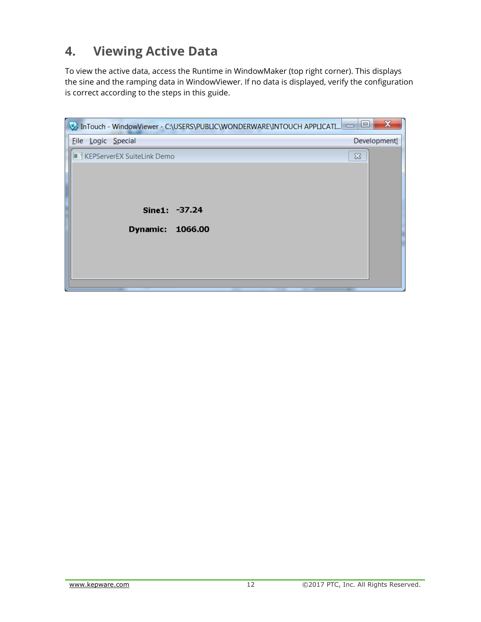## <span id="page-13-0"></span>**4. Viewing Active Data**

To view the active data, access the Runtime in WindowMaker (top right corner). This displays the sine and the ramping data in WindowViewer. If no data is displayed, verify the configuration is correct according to the steps in this guide.

<span id="page-13-1"></span>

| InTouch - WindowViewer - C:\USERS\PUBLIC\WONDERWARE\INTOUCH APPLICATI | $\boldsymbol{\Sigma}$<br>e |
|-----------------------------------------------------------------------|----------------------------|
| Eile Logic Special                                                    | Development!               |
| <b>E:</b> KEPServerEX SuiteLink Demo                                  | $\infty$                   |
| Sine1: -37.24<br><b>Dynamic:</b><br>1066.00                           |                            |